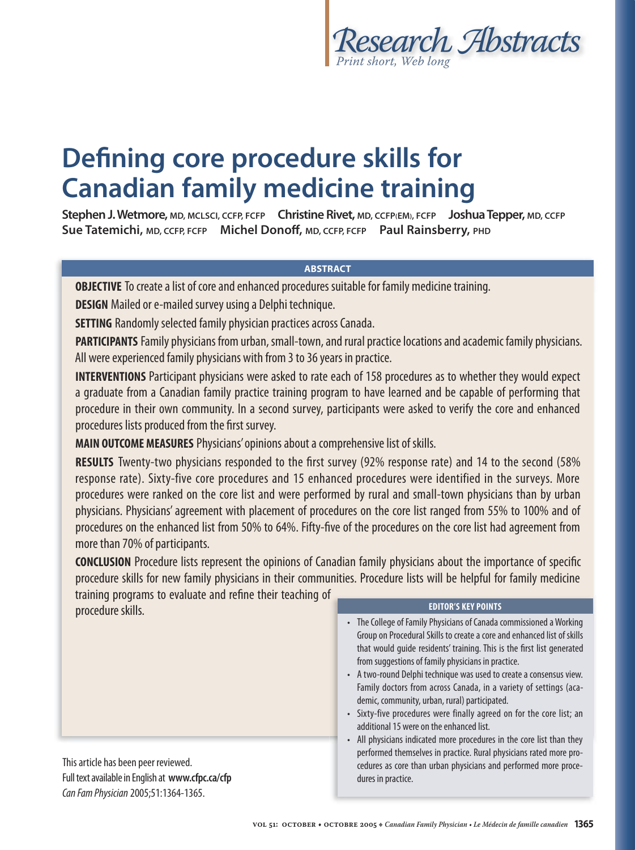

# **Defining core procedure skills for Canadian family medicine training**

**Stephen J. Wetmore, MD, MCLSCI, CCFP, FCFP Christine Rivet, MD, CCFP(EM), FCFP Joshua Tepper, MD, CCFP Sue Tatemichi, MD, CCFP, FCFP Michel Donoff , MD, CCFP, FCFP Paul Rainsberry, PHD**

## **ABSTRACT**

**OBJECTIVE** To create a list of core and enhanced procedures suitable for family medicine training.

**DESIGN** Mailed or e-mailed survey using a Delphi technique.

**SETTING** Randomly selected family physician practices across Canada.

**PARTICIPANTS** Family physicians from urban, small-town, and rural practice locations and academic family physicians. All were experienced family physicians with from 3 to 36 years in practice.

**INTERVENTIONS** Participant physicians were asked to rate each of 158 procedures as to whether they would expect a graduate from a Canadian family practice training program to have learned and be capable of performing that procedure in their own community. In a second survey, participants were asked to verify the core and enhanced procedures lists produced from the first survey.

**MAIN OUTCOME MEASURES** Physicians' opinions about a comprehensive list of skills.

**RESULTS** Twenty-two physicians responded to the first survey (92% response rate) and 14 to the second (58% response rate). Sixty-five core procedures and 15 enhanced procedures were identified in the surveys. More procedures were ranked on the core list and were performed by rural and small-town physicians than by urban physicians. Physicians' agreement with placement of procedures on the core list ranged from 55% to 100% and of procedures on the enhanced list from 50% to 64%. Fifty-five of the procedures on the core list had agreement from more than 70% of participants.

**CONCLUSION** Procedure lists represent the opinions of Canadian family physicians about the importance of specific procedure skills for new family physicians in their communities. Procedure lists will be helpful for family medicine

training programs to evaluate and refine their teaching of procedure skills.

This article has been peer reviewed. Full text available in English at **www.cfpc.ca/cfp** Can Fam Physician 2005;51:1364-1365.

### **EDITOR'S KEY POINTS**

- The College of Family Physicians of Canada commissioned a Working Group on Procedural Skills to create a core and enhanced list of skills that would guide residents' training. This is the first list generated from suggestions of family physicians in practice.
- A two-round Delphi technique was used to create a consensus view. Family doctors from across Canada, in a variety of settings (academic, community, urban, rural) participated.
- Sixty-five procedures were finally agreed on for the core list; an additional 15 were on the enhanced list.
- All physicians indicated more procedures in the core list than they performed themselves in practice. Rural physicians rated more procedures as core than urban physicians and performed more procedures in practice.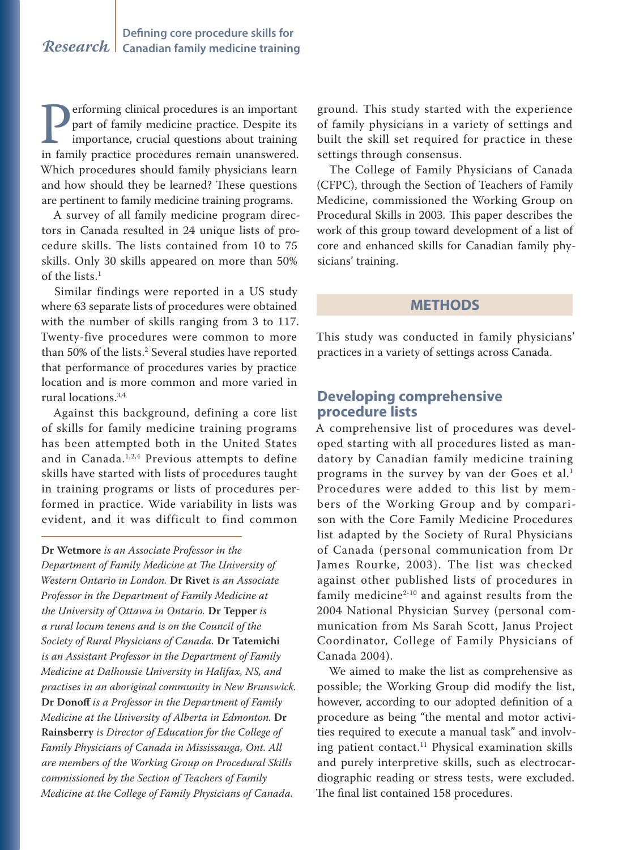**Performing clinical procedures is an important**<br>part of family medicine practice. Despite its<br>importance, crucial questions about training<br>in family practice procedures remain unanswered. part of family medicine practice. Despite its importance, crucial questions about training in family practice procedures remain unanswered. Which procedures should family physicians learn and how should they be learned? These questions are pertinent to family medicine training programs.

A survey of all family medicine program directors in Canada resulted in 24 unique lists of procedure skills. The lists contained from 10 to 75 skills. Only 30 skills appeared on more than 50% of the lists.<sup>1</sup>

Similar findings were reported in a US study where 63 separate lists of procedures were obtained with the number of skills ranging from 3 to 117. Twenty-five procedures were common to more than 50% of the lists.2 Several studies have reported that performance of procedures varies by practice location and is more common and more varied in rural locations.3,4

Against this background, defining a core list of skills for family medicine training programs has been attempted both in the United States and in Canada.<sup>1,2,4</sup> Previous attempts to define skills have started with lists of procedures taught in training programs or lists of procedures performed in practice. Wide variability in lists was evident, and it was difficult to find common

**Dr Wetmore** *is an Associate Professor in the Department of Family Medicine at The University of Western Ontario in London.* **Dr Rivet** *is an Associate Professor in the Department of Family Medicine at the University of Ottawa in Ontario.* **Dr Tepper** *is a rural locum tenens and is on the Council of the Society of Rural Physicians of Canada.* **Dr Tatemichi** *is an Assistant Professor in the Department of Family Medicine at Dalhousie University in Halifax, NS, and practises in an aboriginal community in New Brunswick.*  **Dr Donoff** *is a Professor in the Department of Family Medicine at the University of Alberta in Edmonton.* **Dr Rainsberry** *is Director of Education for the College of Family Physicians of Canada in Mississauga, Ont. All are members of the Working Group on Procedural Skills commissioned by the Section of Teachers of Family Medicine at the College of Family Physicians of Canada.*

ground. This study started with the experience of family physicians in a variety of settings and built the skill set required for practice in these settings through consensus.

The College of Family Physicians of Canada (CFPC), through the Section of Teachers of Family Medicine, commissioned the Working Group on Procedural Skills in 2003. This paper describes the work of this group toward development of a list of core and enhanced skills for Canadian family physicians' training.

## **METHODS**

This study was conducted in family physicians' practices in a variety of settings across Canada.

# **Developing comprehensive procedure lists**

A comprehensive list of procedures was developed starting with all procedures listed as mandatory by Canadian family medicine training programs in the survey by van der Goes et al.1 Procedures were added to this list by members of the Working Group and by comparison with the Core Family Medicine Procedures list adapted by the Society of Rural Physicians of Canada (personal communication from Dr James Rourke, 2003). The list was checked against other published lists of procedures in family medicine $2-10$  and against results from the 2004 National Physician Survey (personal communication from Ms Sarah Scott, Janus Project Coordinator, College of Family Physicians of Canada 2004).

We aimed to make the list as comprehensive as possible; the Working Group did modify the list, however, according to our adopted definition of a procedure as being "the mental and motor activities required to execute a manual task" and involving patient contact.<sup>11</sup> Physical examination skills and purely interpretive skills, such as electrocardiographic reading or stress tests, were excluded. The final list contained 158 procedures.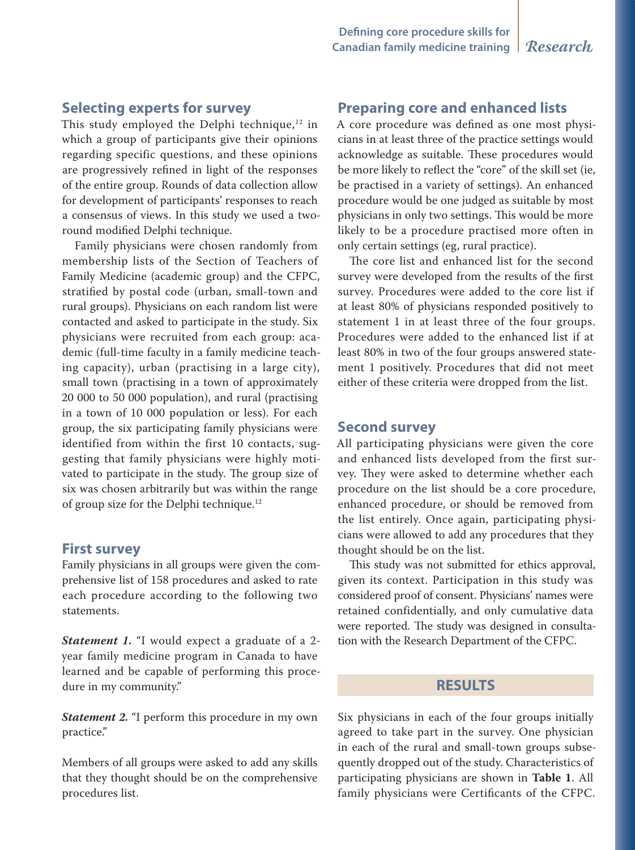# **Selecting experts for survey**

This study employed the Delphi technique, $12$  in which a group of participants give their opinions regarding specific questions, and these opinions are progressively refined in light of the responses of the entire group. Rounds of data collection allow for development of participants' responses to reach a consensus of views. In this study we used a tworound modified Delphi technique.

Family physicians were chosen randomly from membership lists of the Section of Teachers of Family Medicine (academic group) and the CFPC, stratified by postal code (urban, small-town and rural groups). Physicians on each random list were contacted and asked to participate in the study. Six physicians were recruited from each group: academic (full-time faculty in a family medicine teaching capacity), urban (practising in a large city), small town (practising in a town of approximately 20 000 to 50 000 population), and rural (practising in a town of 10 000 population or less). For each group, the six participating family physicians were identified from within the first 10 contacts, suggesting that family physicians were highly motivated to participate in the study. The group size of six was chosen arbitrarily but was within the range of group size for the Delphi technique.12

## **First survey**

Family physicians in all groups were given the comprehensive list of 158 procedures and asked to rate each procedure according to the following two statements.

*Statement 1.* "I would expect a graduate of a 2 year family medicine program in Canada to have learned and be capable of performing this procedure in my community."

*Statement 2.* "I perform this procedure in my own practice."

Members of all groups were asked to add any skills that they thought should be on the comprehensive procedures list.

## **Preparing core and enhanced lists**

A core procedure was defined as one most physicians in at least three of the practice settings would acknowledge as suitable. These procedures would be more likely to reflect the "core" of the skill set (ie, be practised in a variety of settings). An enhanced procedure would be one judged as suitable by most physicians in only two settings. This would be more likely to be a procedure practised more often in only certain settings (eg, rural practice).

The core list and enhanced list for the second survey were developed from the results of the first survey. Procedures were added to the core list if at least 80% of physicians responded positively to statement 1 in at least three of the four groups. Procedures were added to the enhanced list if at least 80% in two of the four groups answered statement 1 positively. Procedures that did not meet either of these criteria were dropped from the list.

## **Second survey**

All participating physicians were given the core and enhanced lists developed from the first survey. They were asked to determine whether each procedure on the list should be a core procedure, enhanced procedure, or should be removed from the list entirely. Once again, participating physicians were allowed to add any procedures that they thought should be on the list.

This study was not submitted for ethics approval, given its context. Participation in this study was considered proof of consent. Physicians' names were retained confidentially, and only cumulative data were reported. The study was designed in consultation with the Research Department of the CFPC.

# **RESULTS**

Six physicians in each of the four groups initially agreed to take part in the survey. One physician in each of the rural and small-town groups subsequently dropped out of the study. Characteristics of participating physicians are shown in **Table 1**. All family physicians were Certificants of the CFPC.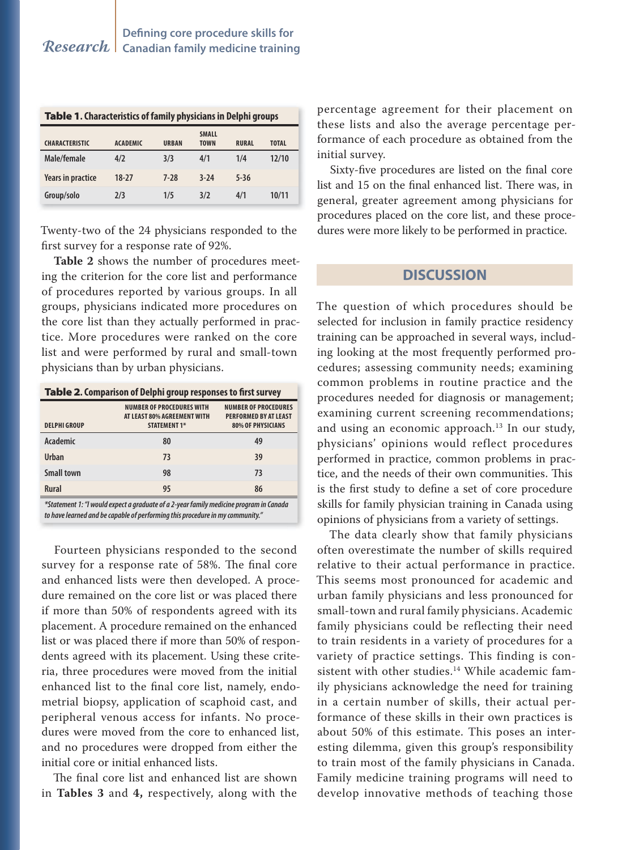| Table 1. Characteristics of family physicians in Delphi groups |                 |              |                             |              |              |
|----------------------------------------------------------------|-----------------|--------------|-----------------------------|--------------|--------------|
| <b>CHARACTERISTIC</b>                                          | <b>ACADEMIC</b> | <b>URBAN</b> | <b>SMALL</b><br><b>TOWN</b> | <b>RURAL</b> | <b>TOTAL</b> |
| Male/female                                                    | 4/2             | 3/3          | 4/1                         | 1/4          | 12/10        |
| <b>Years in practice</b>                                       | $18-27$         | $7-28$       | $3-24$                      | $5 - 36$     |              |
| Group/solo                                                     | 2/3             | 1/5          | 3/2                         | 4/1          | 10/11        |

Twenty-two of the 24 physicians responded to the first survey for a response rate of 92%.

**Table 2** shows the number of procedures meeting the criterion for the core list and performance of procedures reported by various groups. In all groups, physicians indicated more procedures on the core list than they actually performed in practice. More procedures were ranked on the core list and were performed by rural and small-town physicians than by urban physicians.

#### **Table 2. Comparison of Delphi group responses to first survey**

| <b>DELPHI GROUP</b> | <b>NUMBER OF PROCEDURES WITH</b><br>AT LEAST 80% AGREEMENT WITH<br><b>STATEMENT 1*</b> | <b>NUMBER OF PROCEDURES</b><br><b>PERFORMED BY AT LEAST</b><br><b>80% OF PHYSICIANS</b> |
|---------------------|----------------------------------------------------------------------------------------|-----------------------------------------------------------------------------------------|
| Academic            | 80                                                                                     | 49                                                                                      |
| <b>Urban</b>        | 73                                                                                     | 39                                                                                      |
| <b>Small town</b>   | 98                                                                                     | 73                                                                                      |
| <b>Rural</b>        | 95                                                                                     | 86                                                                                      |
|                     |                                                                                        |                                                                                         |

**\*Statement 1: "I would expect a graduate of a 2-year family medicine program in Canada to have learned and be capable of performing this procedure in my community."**

Fourteen physicians responded to the second survey for a response rate of 58%. The final core and enhanced lists were then developed. A procedure remained on the core list or was placed there if more than 50% of respondents agreed with its placement. A procedure remained on the enhanced list or was placed there if more than 50% of respondents agreed with its placement. Using these criteria, three procedures were moved from the initial enhanced list to the final core list, namely, endometrial biopsy, application of scaphoid cast, and peripheral venous access for infants. No procedures were moved from the core to enhanced list, and no procedures were dropped from either the initial core or initial enhanced lists.

The final core list and enhanced list are shown in **Tables 3** and **4,** respectively, along with the

percentage agreement for their placement on these lists and also the average percentage performance of each procedure as obtained from the initial survey.

Sixty-five procedures are listed on the final core list and 15 on the final enhanced list. There was, in general, greater agreement among physicians for procedures placed on the core list, and these procedures were more likely to be performed in practice.

## **DISCUSSION**

The question of which procedures should be selected for inclusion in family practice residency training can be approached in several ways, including looking at the most frequently performed procedures; assessing community needs; examining common problems in routine practice and the procedures needed for diagnosis or management; examining current screening recommendations; and using an economic approach.<sup>13</sup> In our study, physicians' opinions would reflect procedures performed in practice, common problems in practice, and the needs of their own communities. This is the first study to define a set of core procedure skills for family physician training in Canada using opinions of physicians from a variety of settings.

The data clearly show that family physicians often overestimate the number of skills required relative to their actual performance in practice. This seems most pronounced for academic and urban family physicians and less pronounced for small-town and rural family physicians. Academic family physicians could be reflecting their need to train residents in a variety of procedures for a variety of practice settings. This finding is consistent with other studies.<sup>14</sup> While academic family physicians acknowledge the need for training in a certain number of skills, their actual performance of these skills in their own practices is about 50% of this estimate. This poses an interesting dilemma, given this group's responsibility to train most of the family physicians in Canada. Family medicine training programs will need to develop innovative methods of teaching those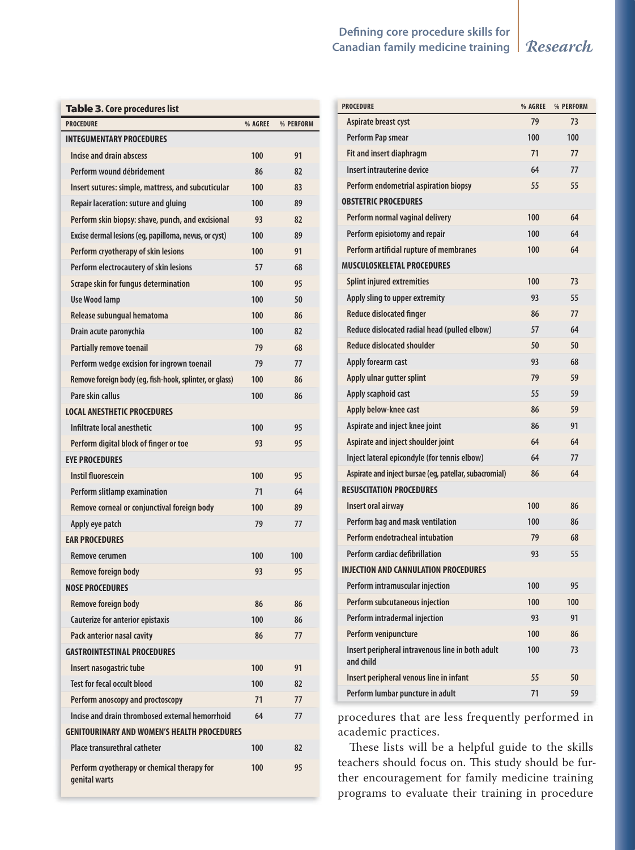# *Research* **Canadian family medicine training Defining core procedure skills for**

| <b>Table 3. Core procedures list</b> |  |
|--------------------------------------|--|
|--------------------------------------|--|

| <b>PROCEDURE</b>                                             | % AGREE | % PERFORM |
|--------------------------------------------------------------|---------|-----------|
| <b>INTEGUMENTARY PROCEDURES</b>                              |         |           |
| Incise and drain abscess                                     | 100     | 91        |
| Perform wound débridement                                    | 86      | 82        |
| Insert sutures: simple, mattress, and subcuticular           | 100     | 83        |
| Repair laceration: suture and gluing                         | 100     | 89        |
| Perform skin biopsy: shave, punch, and excisional            | 93      | 82        |
| Excise dermal lesions (eg, papilloma, nevus, or cyst)        | 100     | 89        |
| Perform cryotherapy of skin lesions                          | 100     | 91        |
| Perform electrocautery of skin lesions                       | 57      | 68        |
| Scrape skin for fungus determination                         | 100     | 95        |
| <b>Use Wood lamp</b>                                         | 100     | 50        |
| Release subungual hematoma                                   | 100     | 86        |
| Drain acute paronychia                                       | 100     | 82        |
| <b>Partially remove toenail</b>                              | 79      | 68        |
| Perform wedge excision for ingrown toenail                   | 79      | 77        |
| Remove foreign body (eg, fish-hook, splinter, or glass)      | 100     | 86        |
| Pare skin callus                                             | 100     | 86        |
| <b>LOCAL ANESTHETIC PROCEDURES</b>                           |         |           |
| Infiltrate local anesthetic                                  | 100     | 95        |
| Perform digital block of finger or toe                       | 93      | 95        |
| <b>EYE PROCEDURES</b>                                        |         |           |
| <b>Instil fluorescein</b>                                    | 100     | 95        |
| Perform slitlamp examination                                 | 71      | 64        |
| Remove corneal or conjunctival foreign body                  | 100     | 89        |
| Apply eye patch                                              | 79      | 77        |
| <b>EAR PROCEDURES</b>                                        |         |           |
| Remove cerumen                                               | 100     | 100       |
| Remove foreign body                                          | 93      | 95        |
| <b>NOSE PROCEDURES</b>                                       |         |           |
| <b>Remove foreign body</b>                                   | 86      | 86        |
| <b>Cauterize for anterior epistaxis</b>                      | 100     | 86        |
| Pack anterior nasal cavity                                   | 86      | 77        |
| <b>GASTROINTESTINAL PROCEDURES</b>                           |         |           |
| Insert nasogastric tube                                      | 100     | 91        |
| <b>Test for fecal occult blood</b>                           | 100     | 82        |
| Perform anoscopy and proctoscopy                             | 71      | 77        |
| Incise and drain thrombosed external hemorrhoid              | 64      | 77        |
| <b>GENITOURINARY AND WOMEN'S HEALTH PROCEDURES</b>           |         |           |
| <b>Place transurethral catheter</b>                          | 100     | 82        |
| Perform cryotherapy or chemical therapy for<br>genital warts | 100     | 95        |

| <b>PROCEDURE</b>                                              | % AGREE | % PERFORM |
|---------------------------------------------------------------|---------|-----------|
| Aspirate breast cyst                                          | 79      | 73        |
| Perform Pap smear                                             | 100     | 100       |
| Fit and insert diaphragm                                      | 71      | 77        |
| Insert intrauterine device                                    | 64      | 77        |
| <b>Perform endometrial aspiration biopsy</b>                  | 55      | 55        |
| <b>OBSTETRIC PROCEDURES</b>                                   |         |           |
| Perform normal vaginal delivery                               | 100     | 64        |
| Perform episiotomy and repair                                 | 100     | 64        |
| Perform artificial rupture of membranes                       | 100     | 64        |
| <b>MUSCULOSKELETAL PROCEDURES</b>                             |         |           |
| <b>Splint injured extremities</b>                             | 100     | 73        |
| Apply sling to upper extremity                                | 93      | 55        |
| <b>Reduce dislocated finger</b>                               | 86      | 77        |
| Reduce dislocated radial head (pulled elbow)                  | 57      | 64        |
| <b>Reduce dislocated shoulder</b>                             | 50      | 50        |
| Apply forearm cast                                            | 93      | 68        |
| Apply ulnar gutter splint                                     | 79      | 59        |
| Apply scaphoid cast                                           | 55      | 59        |
| Apply below-knee cast                                         | 86      | 59        |
| Aspirate and inject knee joint                                | 86      | 91        |
| Aspirate and inject shoulder joint                            | 64      | 64        |
| Inject lateral epicondyle (for tennis elbow)                  | 64      | 77        |
| Aspirate and inject bursae (eg, patellar, subacromial)        | 86      | 64        |
| <b>RESUSCITATION PROCEDURES</b>                               |         |           |
| Insert oral airway                                            | 100     | 86        |
| Perform bag and mask ventilation                              | 100     | 86        |
| Perform endotracheal intubation                               | 79      | 68        |
| Perform cardiac defibrillation                                | 93      | 55        |
| <b>INJECTION AND CANNULATION PROCEDURES</b>                   |         |           |
| Perform intramuscular injection                               | 100     | 95        |
| Perform subcutaneous injection                                | 100     | 100       |
| Perform intradermal injection                                 | 93      | 91        |
| Perform venipuncture                                          | 100     | 86        |
| Insert peripheral intravenous line in both adult<br>and child | 100     | 73        |
| Insert peripheral venous line in infant                       | 55      | 50        |
| Perform lumbar puncture in adult                              | 71      | 59        |

procedures that are less frequently performed in academic practices.

These lists will be a helpful guide to the skills teachers should focus on. This study should be further encouragement for family medicine training programs to evaluate their training in procedure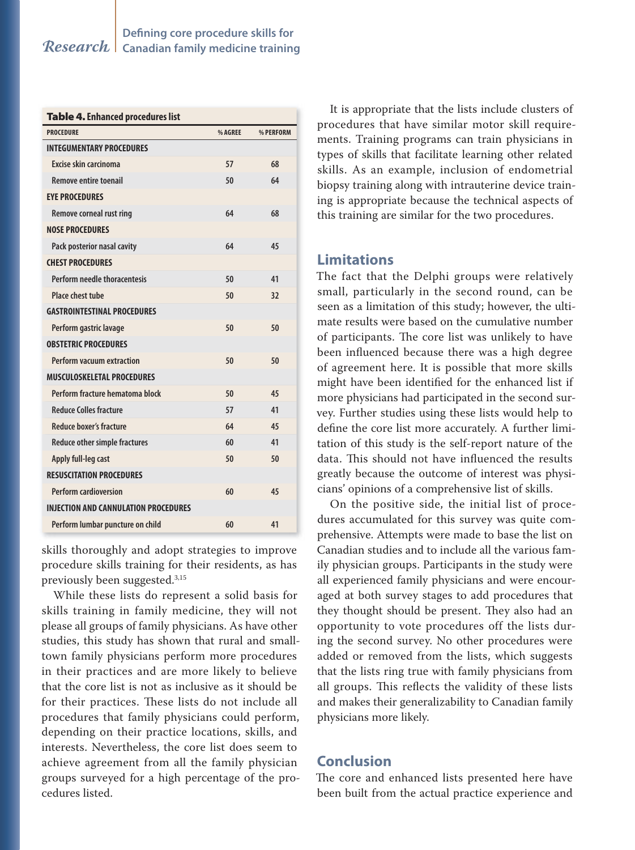| <b>Table 4. Enhanced procedures list</b>    |         |           |
|---------------------------------------------|---------|-----------|
| <b>PROCEDURE</b>                            | % AGREE | % PERFORM |
| <b>INTEGUMENTARY PROCEDURES</b>             |         |           |
| Excise skin carcinoma                       | 57      | 68        |
| <b>Remove entire toenail</b>                | 50      | 64        |
| <b>EYE PROCEDURES</b>                       |         |           |
| Remove corneal rust ring                    | 64      | 68        |
| <b>NOSE PROCEDURES</b>                      |         |           |
| Pack posterior nasal cavity                 | 64      | 45        |
| <b>CHEST PROCEDURES</b>                     |         |           |
| Perform needle thoracentesis                | 50      | 41        |
| Place chest tube                            | 50      | 32        |
| <b>GASTROINTESTINAL PROCEDURES</b>          |         |           |
| Perform gastric lavage                      | 50      | 50        |
| <b>OBSTETRIC PROCEDURES</b>                 |         |           |
| <b>Perform vacuum extraction</b>            | 50      | 50        |
| <b>MUSCULOSKELETAL PROCEDURES</b>           |         |           |
| Perform fracture hematoma block             | 50      | 45        |
| <b>Reduce Colles fracture</b>               | 57      | 41        |
| Reduce boxer's fracture                     | 64      | 45        |
| Reduce other simple fractures               | 60      | 41        |
| Apply full-leg cast                         | 50      | 50        |
| <b>RESUSCITATION PROCEDURES</b>             |         |           |
| <b>Perform cardioversion</b>                | 60      | 45        |
| <b>INJECTION AND CANNULATION PROCEDURES</b> |         |           |
| Perform lumbar puncture on child            | 60      | 41        |

skills thoroughly and adopt strategies to improve procedure skills training for their residents, as has previously been suggested.3,15

While these lists do represent a solid basis for skills training in family medicine, they will not please all groups of family physicians. As have other studies, this study has shown that rural and smalltown family physicians perform more procedures in their practices and are more likely to believe that the core list is not as inclusive as it should be for their practices. These lists do not include all procedures that family physicians could perform, depending on their practice locations, skills, and interests. Nevertheless, the core list does seem to achieve agreement from all the family physician groups surveyed for a high percentage of the procedures listed.

It is appropriate that the lists include clusters of procedures that have similar motor skill requirements. Training programs can train physicians in types of skills that facilitate learning other related skills. As an example, inclusion of endometrial biopsy training along with intrauterine device training is appropriate because the technical aspects of this training are similar for the two procedures.

# **Limitations**

The fact that the Delphi groups were relatively small, particularly in the second round, can be seen as a limitation of this study; however, the ultimate results were based on the cumulative number of participants. The core list was unlikely to have been influenced because there was a high degree of agreement here. It is possible that more skills might have been identified for the enhanced list if more physicians had participated in the second survey. Further studies using these lists would help to define the core list more accurately. A further limitation of this study is the self-report nature of the data. This should not have influenced the results greatly because the outcome of interest was physicians' opinions of a comprehensive list of skills.

On the positive side, the initial list of procedures accumulated for this survey was quite comprehensive. Attempts were made to base the list on Canadian studies and to include all the various family physician groups. Participants in the study were all experienced family physicians and were encouraged at both survey stages to add procedures that they thought should be present. They also had an opportunity to vote procedures off the lists during the second survey. No other procedures were added or removed from the lists, which suggests that the lists ring true with family physicians from all groups. This reflects the validity of these lists and makes their generalizability to Canadian family physicians more likely.

# **Conclusion**

The core and enhanced lists presented here have been built from the actual practice experience and